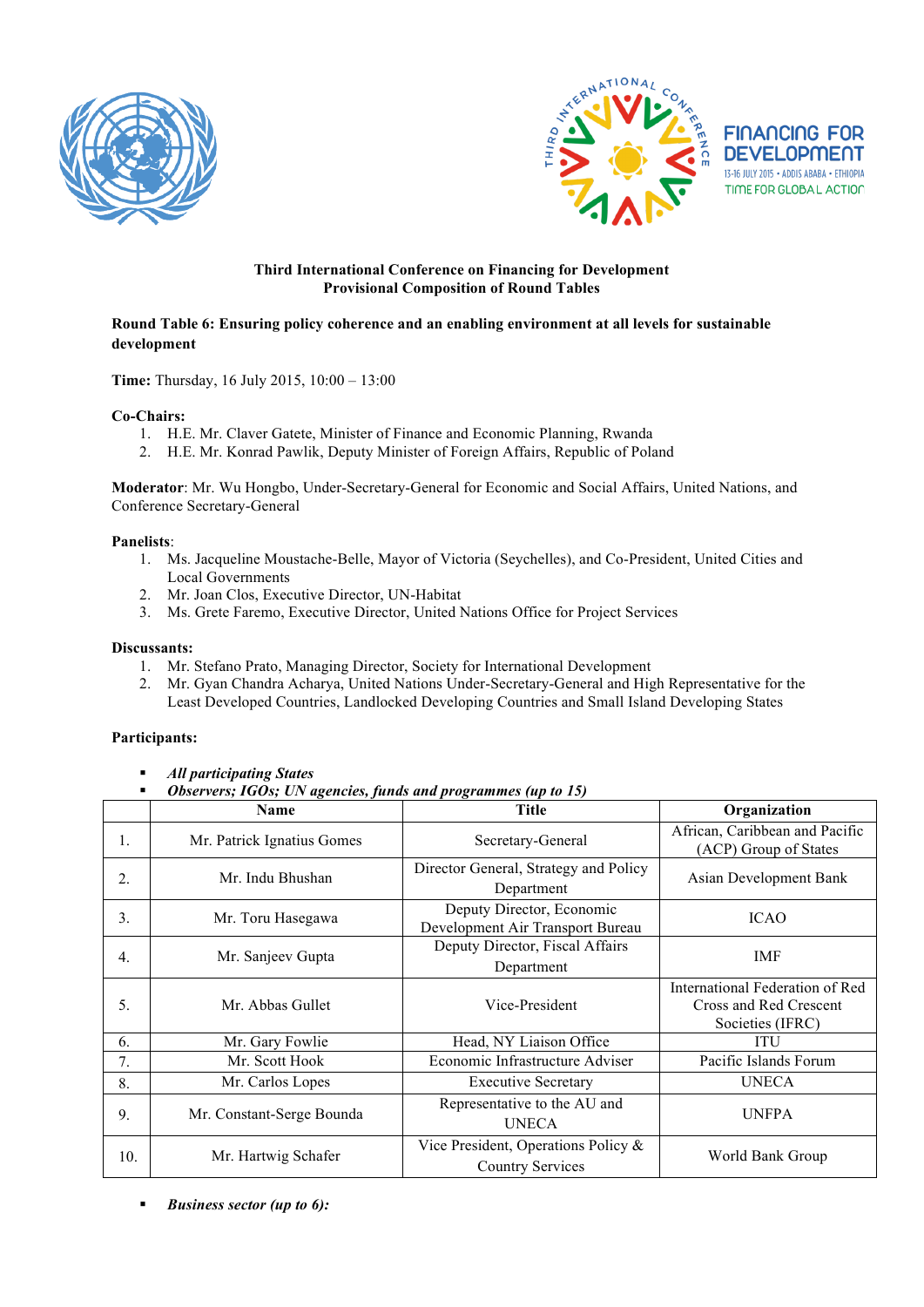





## **Third International Conference on Financing for Development Provisional Composition of Round Tables**

## **Round Table 6: Ensuring policy coherence and an enabling environment at all levels for sustainable development**

**Time:** Thursday, 16 July 2015, 10:00 – 13:00

#### **Co-Chairs:**

- 1. H.E. Mr. Claver Gatete, Minister of Finance and Economic Planning, Rwanda
- 2. H.E. Mr. Konrad Pawlik, Deputy Minister of Foreign Affairs, Republic of Poland

**Moderator**: Mr. Wu Hongbo, Under-Secretary-General for Economic and Social Affairs, United Nations, and Conference Secretary-General

#### **Panelists**:

- 1. Ms. Jacqueline Moustache-Belle, Mayor of Victoria (Seychelles), and Co-President, United Cities and Local Governments
- 2. Mr. Joan Clos, Executive Director, UN-Habitat
- 3. Ms. Grete Faremo, Executive Director, United Nations Office for Project Services

#### **Discussants:**

- 1. Mr. Stefano Prato, Managing Director, Society for International Development
- 2. Mr. Gyan Chandra Acharya, United Nations Under-Secretary-General and High Representative for the Least Developed Countries, Landlocked Developing Countries and Small Island Developing States

## **Participants:**

- *All participating States*
- *Observers; IGOs; UN agencies, funds and programmes (up to 15)*

|                  | <b>Name</b>                | <b>Title</b>                                                      | Organization                                                                  |
|------------------|----------------------------|-------------------------------------------------------------------|-------------------------------------------------------------------------------|
| 1.               | Mr. Patrick Ignatius Gomes | Secretary-General                                                 | African, Caribbean and Pacific<br>(ACP) Group of States                       |
| 2.               | Mr. Indu Bhushan           | Director General, Strategy and Policy<br>Department               | Asian Development Bank                                                        |
| 3.               | Mr. Toru Hasegawa          | Deputy Director, Economic<br>Development Air Transport Bureau     | <b>ICAO</b>                                                                   |
| $\overline{4}$ . | Mr. Sanjeev Gupta          | Deputy Director, Fiscal Affairs<br>Department                     | <b>IMF</b>                                                                    |
| 5.               | Mr. Abbas Gullet           | Vice-President                                                    | International Federation of Red<br>Cross and Red Crescent<br>Societies (IFRC) |
| 6.               | Mr. Gary Fowlie            | Head, NY Liaison Office                                           | <b>ITU</b>                                                                    |
| $7_{\cdot}$      | Mr. Scott Hook             | Economic Infrastructure Adviser                                   | Pacific Islands Forum                                                         |
| 8.               | Mr. Carlos Lopes           | <b>Executive Secretary</b>                                        | <b>UNECA</b>                                                                  |
| 9.               | Mr. Constant-Serge Bounda  | Representative to the AU and<br><b>UNECA</b>                      | <b>UNFPA</b>                                                                  |
| 10.              | Mr. Hartwig Schafer        | Vice President, Operations Policy $\&$<br><b>Country Services</b> | World Bank Group                                                              |

*Business sector (up to 6):*